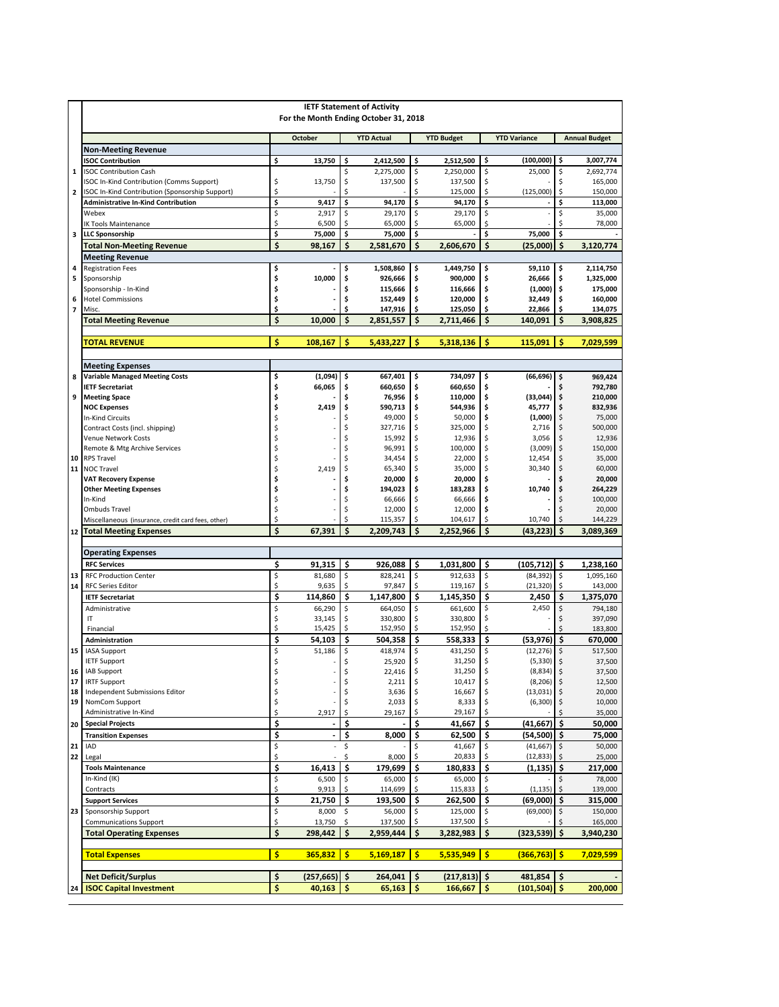|                          | <b>IETF Statement of Activity</b><br>For the Month Ending October 31, 2018                   |          |                          |          |                    |          |                    |          |                        |          |                      |  |  |  |
|--------------------------|----------------------------------------------------------------------------------------------|----------|--------------------------|----------|--------------------|----------|--------------------|----------|------------------------|----------|----------------------|--|--|--|
|                          |                                                                                              |          | <b>October</b>           |          | <b>YTD Actual</b>  |          | <b>YTD Budget</b>  |          | <b>YTD Variance</b>    |          | <b>Annual Budget</b> |  |  |  |
|                          | <b>Non-Meeting Revenue</b>                                                                   |          |                          |          |                    |          |                    |          |                        |          |                      |  |  |  |
|                          | <b>ISOC Contribution</b>                                                                     | \$       | 13,750                   | \$       | 2,412,500          | \$       | 2,512,500          | \$       | (100,000)              | \$       | 3,007,774            |  |  |  |
| $\mathbf 1$              | <b>ISOC Contribution Cash</b>                                                                |          |                          | \$       | 2,275,000          | \$       | 2,250,000          | \$       | 25,000                 | \$       | 2,692,774            |  |  |  |
| $\mathbf{2}$             | ISOC In-Kind Contribution (Comms Support)<br>ISOC In-Kind Contribution (Sponsorship Support) | \$<br>\$ | 13,750                   | \$<br>\$ | 137,500            | \$<br>\$ | 137,500<br>125,000 | \$<br>\$ | (125,000)              | \$       | 165,000<br>150,000   |  |  |  |
|                          | <b>Administrative In-Kind Contribution</b>                                                   | \$       | 9,417                    | \$       | 94,170             | \$       | 94,170             | \$       |                        | \$       | 113,000              |  |  |  |
|                          | Webex                                                                                        | \$       | 2,917                    | \$       | 29,170             | \$       | 29,170             | \$       |                        | \$       | 35,000               |  |  |  |
|                          | IK Tools Maintenance                                                                         | \$       | 6,500                    | \$       | 65,000             | \$       | 65,000             | \$       |                        | \$       | 78,000               |  |  |  |
| 3                        | <b>LLC Sponsorship</b>                                                                       | \$       | 75,000                   | \$       | 75,000             | \$       |                    | \$       | 75.000                 | \$       |                      |  |  |  |
|                          | <b>Total Non-Meeting Revenue</b>                                                             | \$       | 98,167                   | Ś        | 2,581,670          | \$       | 2,606,670          | \$       | (25,000)               | \$       | 3,120,774            |  |  |  |
|                          | <b>Meeting Revenue</b>                                                                       |          |                          |          |                    |          |                    |          |                        |          |                      |  |  |  |
| 4                        | <b>Registration Fees</b>                                                                     | \$       |                          | \$       | 1,508,860          | \$       | 1,449,750          | \$       | 59,110                 | \$       | 2,114,750            |  |  |  |
| 5                        | Sponsorship<br>Sponsorship - In-Kind                                                         | \$<br>\$ | 10,000                   | \$<br>\$ | 926,666<br>115,666 | \$<br>\$ | 900,000<br>116,666 | \$<br>\$ | 26,666<br>(1,000)      | \$<br>\$ | 1,325,000<br>175,000 |  |  |  |
| 6                        | <b>Hotel Commissions</b>                                                                     | \$       |                          | \$       | 152,449            | \$       | 120,000            | \$       | 32,449                 | \$       | 160,000              |  |  |  |
| $\overline{\phantom{a}}$ | Misc.                                                                                        | \$       |                          | \$       | 147,916            | \$       | 125,050            | \$       | 22,866                 | \$       | 134,075              |  |  |  |
|                          | <b>Total Meeting Revenue</b>                                                                 | \$       | 10,000                   | \$       | 2,851,557          | \$       | 2,711,466          | \$       | 140,091                | \$       | 3,908,825            |  |  |  |
|                          |                                                                                              |          |                          |          |                    |          |                    |          |                        |          |                      |  |  |  |
|                          | <b>TOTAL REVENUE</b>                                                                         | \$       | 108,167                  | \$       | 5,433,227          | \$       | 5,318,136          | \$       | 115,091                | \$       | 7,029,599            |  |  |  |
|                          |                                                                                              |          |                          |          |                    |          |                    |          |                        |          |                      |  |  |  |
|                          | <b>Meeting Expenses</b>                                                                      |          |                          |          |                    |          |                    |          |                        |          |                      |  |  |  |
| 8                        | <b>Variable Managed Meeting Costs</b>                                                        | \$       | (1,094)                  | \$       | 667,401            | \$       | 734,097            | \$       | (66, 696)              | \$       | 969,424              |  |  |  |
| 9                        | <b>IETF Secretariat</b><br><b>Meeting Space</b>                                              | \$<br>\$ | 66,065                   | \$<br>\$ | 660,650<br>76,956  | \$<br>\$ | 660,650<br>110,000 | \$<br>\$ | (33,044)               | Ś<br>\$  | 792,780<br>210,000   |  |  |  |
|                          | <b>NOC Expenses</b>                                                                          | \$       | 2,419                    | \$       | 590,713            | \$       | 544,936            | \$       | 45,777                 | \$       | 832,936              |  |  |  |
|                          | In-Kind Circuits                                                                             | \$       |                          | \$       | 49,000             | \$       | 50,000             | \$       | (1,000)                | \$       | 75,000               |  |  |  |
|                          | Contract Costs (incl. shipping)                                                              | \$       |                          | \$       | 327,716            | \$       | 325,000            | \$       | 2,716                  | \$       | 500,000              |  |  |  |
|                          | Venue Network Costs                                                                          | \$       |                          | \$       | 15,992             | \$       | 12,936             | \$       | 3,056                  | \$       | 12,936               |  |  |  |
|                          | Remote & Mtg Archive Services                                                                | \$<br>Ś  |                          | \$<br>Ś  | 96,991             | \$       | 100,000            | \$       | (3,009)                | \$       | 150,000              |  |  |  |
| 10<br>11                 | <b>RPS Travel</b><br>NOC Travel                                                              | \$       | 2,419                    | \$       | 34,454<br>65,340   | \$<br>\$ | 22,000<br>35,000   | \$       | 12,454<br>30,340       | \$<br>\$ | 35,000<br>60,000     |  |  |  |
|                          | <b>VAT Recovery Expense</b>                                                                  | \$       |                          | \$       | 20,000             | \$       | 20,000             | \$       |                        |          | 20,000               |  |  |  |
|                          | <b>Other Meeting Expenses</b>                                                                | \$       |                          | \$       | 194,023            | \$       | 183,283            | Ś        | 10,740                 | \$       | 264,229              |  |  |  |
|                          | In-Kind                                                                                      | \$       |                          | \$       | 66,666             | \$       | 66,666             | \$       |                        | \$       | 100,000              |  |  |  |
|                          | Ombuds Travel                                                                                | \$       |                          | \$       | 12,000             | \$       | 12,000             | \$       |                        | \$       | 20,000               |  |  |  |
|                          | Miscellaneous (insurance, credit card fees, other)                                           | \$<br>Ś  |                          | \$<br>Ś  | 115,357            | \$       | 104,617            | \$       | 10,740                 | \$<br>Ś  | 144,229              |  |  |  |
| 12                       | <b>Total Meeting Expenses</b>                                                                |          | 67,391                   |          | 2,209,743          | \$       | 2,252,966          | Ś        | (43,223)               |          | 3,089,369            |  |  |  |
|                          | <b>Operating Expenses</b>                                                                    |          |                          |          |                    |          |                    |          |                        |          |                      |  |  |  |
|                          | <b>RFC Services</b>                                                                          | \$       | 91,315                   | \$       | 926,088            | \$       | 1,031,800          | \$       | (105, 712)             | \$       | 1,238,160            |  |  |  |
| 13                       | <b>RFC Production Center</b>                                                                 | \$       | 81,680                   | \$       | 828,241            | \$       | 912,633            | \$       | (84, 392)              | \$       | 1,095,160            |  |  |  |
| 14                       | <b>RFC Series Editor</b>                                                                     | \$       | 9,635                    | \$       | 97,847             | \$       | 119,167            | \$       | (21, 320)              | \$       | 143,000              |  |  |  |
|                          | <b>IETF Secretariat</b>                                                                      | \$       | 114,860                  | Ś        | 1,147,800          | \$       | 1,145,350          | \$       | 2,450                  | \$       | 1,375,070            |  |  |  |
|                          | Administrative                                                                               | \$       | 66,290                   | \$       | 664,050            | \$       | 661,600            | \$       | 2,450                  | \$       | 794,180              |  |  |  |
|                          | IT                                                                                           | \$       | 33,145                   | \$       | 330,800            | \$       | 330,800            | \$       |                        | \$       | 397,090              |  |  |  |
|                          | Financial                                                                                    | \$<br>\$ | 15,425                   | \$<br>\$ | 152,950            | \$<br>\$ | 152,950            | \$       |                        | \$<br>\$ | 183,800              |  |  |  |
| 15                       | Administration<br><b>IASA Support</b>                                                        | \$       | 54,103<br>51,186         | \$       | 504,358<br>418,974 | \$       | 558,333<br>431,250 | \$       | (53, 976)<br>(12, 276) | \$       | 670,000<br>517,500   |  |  |  |
|                          | <b>IETF Support</b>                                                                          | \$       |                          | \$       | 25,920             | \$       | 31,250             | \$       | (5, 330)               | \$       | 37,500               |  |  |  |
| 16                       | IAB Support                                                                                  | \$       |                          | \$       | 22,416             | \$       | 31,250             | \$,      | $(8,834)$ \$           |          | 37,500               |  |  |  |
| 17                       | <b>IRTF Support</b>                                                                          | \$       |                          | \$       | 2,211              | \$       | 10,417             | \$       | (8, 206)               | \$       | 12,500               |  |  |  |
| 18                       | Independent Submissions Editor                                                               | \$       |                          | \$       | 3,636              | \$       | 16,667             |          | $(13,031)$ \$          |          | 20,000               |  |  |  |
| 19                       | NomCom Support<br>Administrative In-Kind                                                     | \$<br>\$ |                          | \$<br>\$ | 2,033              | \$       | 8,333<br>29,167    |          | (6,300)                | \$,      | 10,000<br>35,000     |  |  |  |
| 20                       | <b>Special Projects</b>                                                                      | \$       | 2,917                    | \$       | 29,167             | \$       | 41,667             | \$       | (41,667)               | \$       | 50,000               |  |  |  |
|                          | <b>Transition Expenses</b>                                                                   | \$       | $\overline{\phantom{a}}$ | \$       | 8,000              | \$       | 62,500             | \$       | (54, 500)              | \$       | 75,000               |  |  |  |
| 21                       | IAD                                                                                          | \$       |                          | \$       |                    | \$       | 41,667             | \$       | (41, 667)              | \$       | 50,000               |  |  |  |
| 22                       | Legal                                                                                        | \$       |                          | \$       | 8,000              | \$       | 20,833             | \$       | (12, 833)              | \$       | 25,000               |  |  |  |
|                          | <b>Tools Maintenance</b>                                                                     | \$       | 16,413                   | \$       | 179,699            | \$       | 180,833            | \$       | (1,135)                | \$       | 217,000              |  |  |  |
|                          | In-Kind (IK)                                                                                 | \$       | 6,500                    | \$       | 65,000             | \$       | 65,000             | \$       |                        | \$       | 78,000               |  |  |  |
|                          | Contracts                                                                                    | \$       | 9,913                    | \$       | 114,699            |          | 115,833            |          | (1, 135)               | \$       | 139,000              |  |  |  |
|                          | <b>Support Services</b>                                                                      | \$       | 21,750                   | \$       | 193,500            | \$       | 262,500            | \$       | (69,000)               | \$       | 315,000              |  |  |  |
| 23                       | Sponsorship Support                                                                          | \$<br>\$ | 8,000<br>13,750          | \$<br>\$ | 56,000<br>137,500  | \$<br>\$ | 125,000<br>137,500 | \$<br>S  | (69,000)               | \$<br>Ś  | 150,000<br>165,000   |  |  |  |
|                          | <b>Communications Support</b><br><b>Total Operating Expenses</b>                             | \$       | 298,442                  | \$       | 2,959,444          | \$       | 3,282,983          | \$       | (323, 539)             | \$       | 3,940,230            |  |  |  |
|                          |                                                                                              |          |                          |          |                    |          |                    |          |                        |          |                      |  |  |  |
|                          | <b>Total Expenses</b>                                                                        | \$       | 365,832                  | <b>S</b> | 5,169,187          | \$       | 5,535,949          | \$       | (366,763) \$           |          | 7,029,599            |  |  |  |
|                          | <b>Net Deficit/Surplus</b>                                                                   | \$       | (257, 665)               | \$       | 264,041            | \$       | (217, 813)         | \$       | 481,854                | \$       |                      |  |  |  |
| 24                       | <b>ISOC Capital Investment</b>                                                               | \$       | 40,163                   | \$       | 65,163             | \$       | 166,667            | \$       | (101, 504)             | \$       | 200,000              |  |  |  |
|                          |                                                                                              |          |                          |          |                    |          |                    |          |                        |          |                      |  |  |  |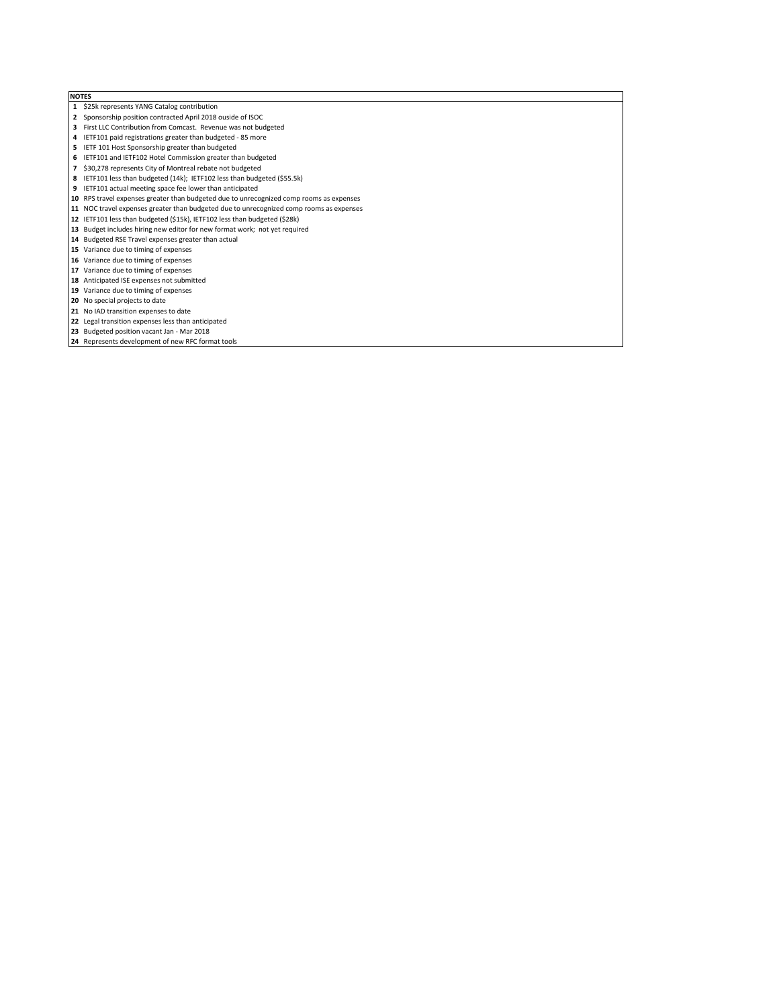## NOTES

- \$25k represents YANG Catalog contribution
- Sponsorship position contracted April 2018 ouside of ISOC
- First LLC Contribution from Comcast. Revenue was not budgeted
- IETF101 paid registrations greater than budgeted 85 more
- IETF 101 Host Sponsorship greater than budgeted
- IETF101 and IETF102 Hotel Commission greater than budgeted \$30,278 represents City of Montreal rebate not budgeted
- 
- IETF101 less than budgeted (14k); IETF102 less than budgeted (\$55.5k)
- IETF101 actual meeting space fee lower than anticipated
- RPS travel expenses greater than budgeted due to unrecognized comp rooms as expenses
- NOC travel expenses greater than budgeted due to unrecognized comp rooms as expenses
- IETF101 less than budgeted (\$15k), IETF102 less than budgeted (\$28k)
- Budget includes hiring new editor for new format work; not yet required
- Budgeted RSE Travel expenses greater than actual
- Variance due to timing of expenses
- Variance due to timing of expenses
- Variance due to timing of expenses
- Anticipated ISE expenses not submitted 19 Variance due to timing of expenses
- No special projects to date
- 
- 21 No IAD transition expenses to date
- Legal transition expenses less than anticipated Budgeted position vacant Jan - Mar 2018
- Represents development of new RFC format tools